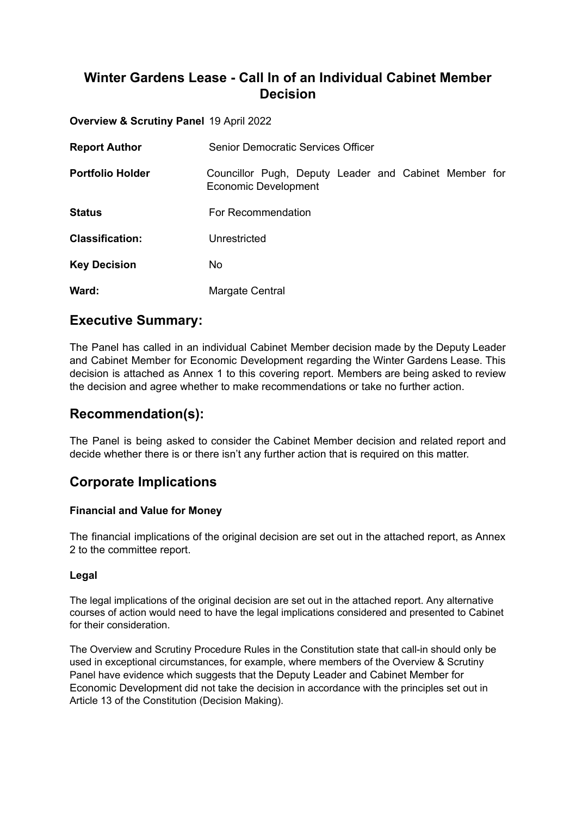# **Winter Gardens Lease - Call In of an Individual Cabinet Member Decision**

**Overview & Scrutiny Panel** 19 April 2022

| <b>Report Author</b>    | <b>Senior Democratic Services Officer</b>                                     |
|-------------------------|-------------------------------------------------------------------------------|
| <b>Portfolio Holder</b> | Councillor Pugh, Deputy Leader and Cabinet Member for<br>Economic Development |
| <b>Status</b>           | For Recommendation                                                            |
| <b>Classification:</b>  | Unrestricted                                                                  |
| <b>Key Decision</b>     | No                                                                            |
| Ward:                   | Margate Central                                                               |

## **Executive Summary:**

The Panel has called in an individual Cabinet Member decision made by the Deputy Leader and Cabinet Member for Economic Development regarding the Winter Gardens Lease. This decision is attached as Annex 1 to this covering report. Members are being asked to review the decision and agree whether to make recommendations or take no further action.

## **Recommendation(s):**

The Panel is being asked to consider the Cabinet Member decision and related report and decide whether there is or there isn't any further action that is required on this matter.

# **Corporate Implications**

### **Financial and Value for Money**

The financial implications of the original decision are set out in the attached report, as Annex 2 to the committee report.

### **Legal**

The legal implications of the original decision are set out in the attached report. Any alternative courses of action would need to have the legal implications considered and presented to Cabinet for their consideration.

The Overview and Scrutiny Procedure Rules in the Constitution state that call-in should only be used in exceptional circumstances, for example, where members of the Overview & Scrutiny Panel have evidence which suggests that the Deputy Leader and Cabinet Member for Economic Development did not take the decision in accordance with the principles set out in Article 13 of the Constitution (Decision Making).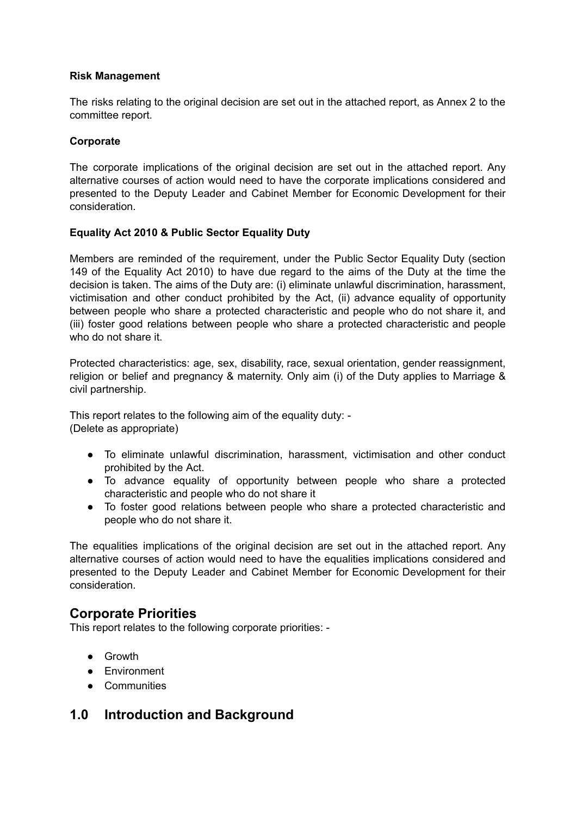### **Risk Management**

The risks relating to the original decision are set out in the attached report, as Annex 2 to the committee report.

### **Corporate**

The corporate implications of the original decision are set out in the attached report. Any alternative courses of action would need to have the corporate implications considered and presented to the Deputy Leader and Cabinet Member for Economic Development for their consideration.

### **Equality Act 2010 & Public Sector Equality Duty**

Members are reminded of the requirement, under the Public Sector Equality Duty (section 149 of the Equality Act 2010) to have due regard to the aims of the Duty at the time the decision is taken. The aims of the Duty are: (i) eliminate unlawful discrimination, harassment, victimisation and other conduct prohibited by the Act, (ii) advance equality of opportunity between people who share a protected characteristic and people who do not share it, and (iii) foster good relations between people who share a protected characteristic and people who do not share it.

Protected characteristics: age, sex, disability, race, sexual orientation, gender reassignment, religion or belief and pregnancy & maternity. Only aim (i) of the Duty applies to Marriage & civil partnership.

This report relates to the following aim of the equality duty: - (Delete as appropriate)

- To eliminate unlawful discrimination, harassment, victimisation and other conduct prohibited by the Act.
- To advance equality of opportunity between people who share a protected characteristic and people who do not share it
- To foster good relations between people who share a protected characteristic and people who do not share it.

The equalities implications of the original decision are set out in the attached report. Any alternative courses of action would need to have the equalities implications considered and presented to the Deputy Leader and Cabinet Member for Economic Development for their consideration.

### **Corporate Priorities**

This report relates to the following corporate priorities: -

- Growth
- Environment
- Communities

## **1.0 Introduction and Background**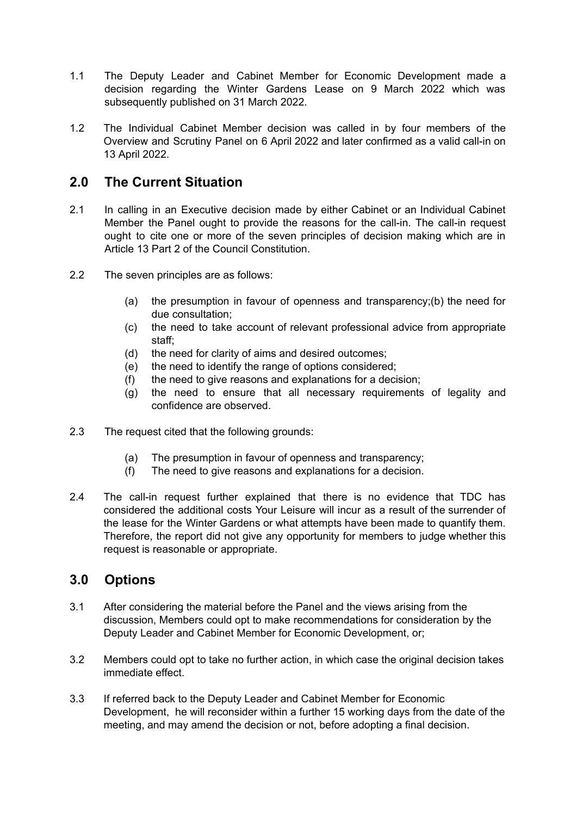- 1.1 The Deputy Leader and Cabinet Member for Economic Development made a decision regarding the Winter Gardens Lease on 9 March 2022 which was subsequently published on 31 March 2022.
- 1.2 The Individual Cabinet Member decision was called in by four members of the Overview and Scrutiny Panel on 6 April 2022 and later confirmed as a valid call-in on 13 April 2022.

## **2.0 The Current Situation**

- 2.1 In calling in an Executive decision made by either Cabinet or an Individual Cabinet Member the Panel ought to provide the reasons for the call-in. The call-in request ought to cite one or more of the seven principles of decision making which are in Article 13 Part 2 of the Council Constitution.
- 2.2 The seven principles are as follows:
	- (a) the presumption in favour of openness and transparency;(b) the need for due consultation;
	- (c) the need to take account of relevant professional advice from appropriate staff;
	- (d) the need for clarity of aims and desired outcomes;
	- (e) the need to identify the range of options considered;
	- (f) the need to give reasons and explanations for a decision;
	- (g) the need to ensure that all necessary requirements of legality and confidence are observed.
- 2.3 The request cited that the following grounds:
	- (a) The presumption in favour of openness and transparency;
	- (f) The need to give reasons and explanations for a decision.
- 2.4 The call-in request further explained that there is no evidence that TDC has considered the additional costs Your Leisure will incur as a result of the surrender of the lease for the Winter Gardens or what attempts have been made to quantify them. Therefore, the report did not give any opportunity for members to judge whether this request is reasonable or appropriate.

## **3.0 Options**

- 3.1 After considering the material before the Panel and the views arising from the discussion, Members could opt to make recommendations for consideration by the Deputy Leader and Cabinet Member for Economic Development, or;
- 3.2 Members could opt to take no further action, in which case the original decision takes immediate effect.
- 3.3 If referred back to the Deputy Leader and Cabinet Member for Economic Development, he will reconsider within a further 15 working days from the date of the meeting, and may amend the decision or not, before adopting a final decision.